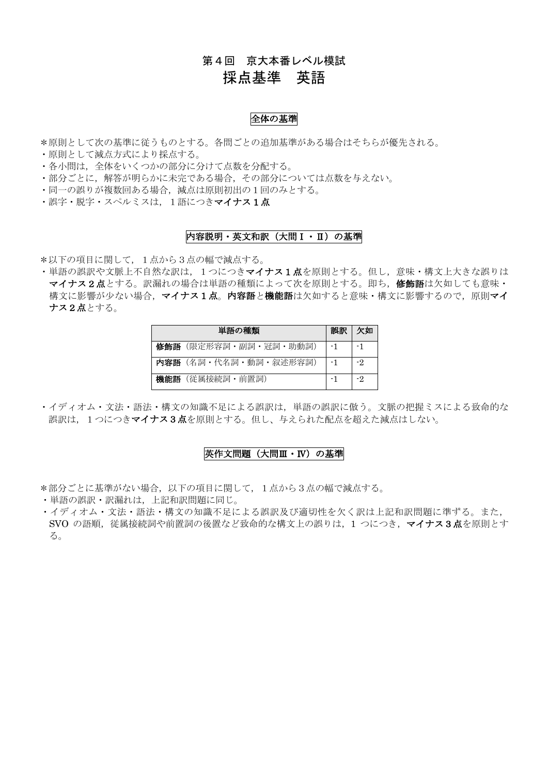## 第4回 京大本番レベル模試

# 採点基準 英語

### 全体の基準

\*原則として次の基準に従うものとする。各問ごとの追加基準がある場合はそちらが優先される。

- ・原則として減点方式により採点する。
- ・各小問は,全体をいくつかの部分に分けて点数を分配する。
- ・部分ごとに,解答が明らかに未完である場合,その部分については点数を与えない。
- ・同一の誤りが複数回ある場合,減点は原則初出の1回のみとする。
- ・誤字・脱字・スペルミスは、1語につきマイナス1点

### 内容説明・英文和訳(大問Ⅰ・Ⅱ)の基準

\*以下の項目に関して,1点から3点の幅で減点する。

·単語の誤訳や文脈上不自然な訳は、1つにつきマイナス1点を原則とする。但し,意味·構文上大きな誤りは マイナス2点とする。訳漏れの場合は単語の種類によって次を原則とする。即ち,修飾語は欠如しても意味・ 構文に影響が少ない場合, マイナス1点。内容語と機能語は欠如すると意味·構文に影響するので, 原則マイ ナス2点とする。

|     | 単語の種類                | 誤訳 | 欠如  |
|-----|----------------------|----|-----|
|     | 修飾語(限定形容詞・副詞・冠詞・助動詞) | -1 | -1  |
|     | 内容語(名詞・代名詞・動詞・叙述形容詞) | -1 | -2  |
| 機能語 | (従属接続詞・前置詞)          |    | -9. |

・イディオム・文法・語法・構文の知識不足による誤訳は,単語の誤訳に倣う。文脈の把握ミスによる致命的な 誤訳は、1つにつきマイナス3点を原則とする。但し、与えられた配点を超えた減点はしない。

#### 英作文問題(大問Ⅲ・Ⅳ)の基準

\*部分ごとに基準がない場合,以下の項目に関して,1点から3点の幅で減点する。

・単語の誤訳・訳漏れは,上記和訳問題に同じ。

・イディオム・文法・語法・構文の知識不足による誤訳及び適切性を欠く訳は上記和訳問題に準ずる。また, SVO の語順,従属接続詞や前置詞の後置など致命的な構文上の誤りは,1 つにつき,マイナス3点を原則とす る。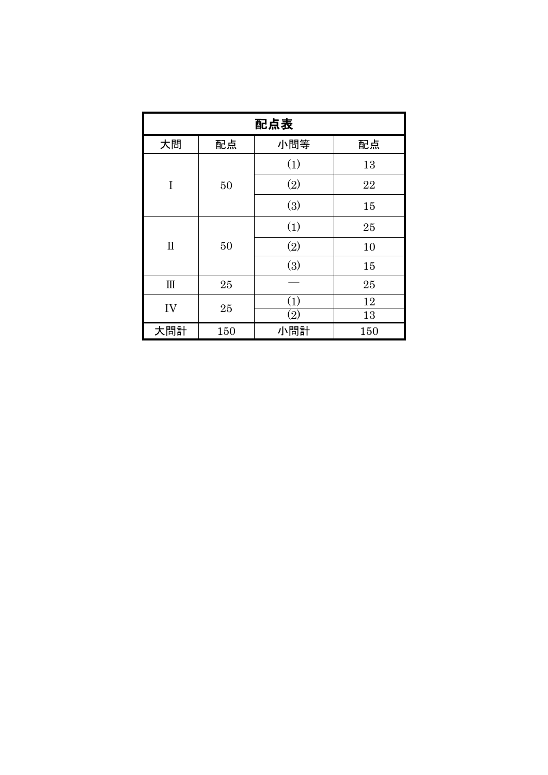| 配点表         |     |                   |     |    |  |
|-------------|-----|-------------------|-----|----|--|
| 大問          | 配点  | 小問等               | 配点  |    |  |
|             |     | (1)               | 13  |    |  |
| I           | 50  | (2)               | 22  |    |  |
|             |     |                   | (3) | 15 |  |
|             | 50  | (1)               | 25  |    |  |
| $\mathbf I$ |     | (2)               | 10  |    |  |
|             |     | (3)               | 15  |    |  |
| $\rm III$   | 25  |                   | 25  |    |  |
| IV          | 25  | (1)               | 12  |    |  |
|             |     | $\left( 2\right)$ | 13  |    |  |
| 大問計         | 150 | 小問計               | 150 |    |  |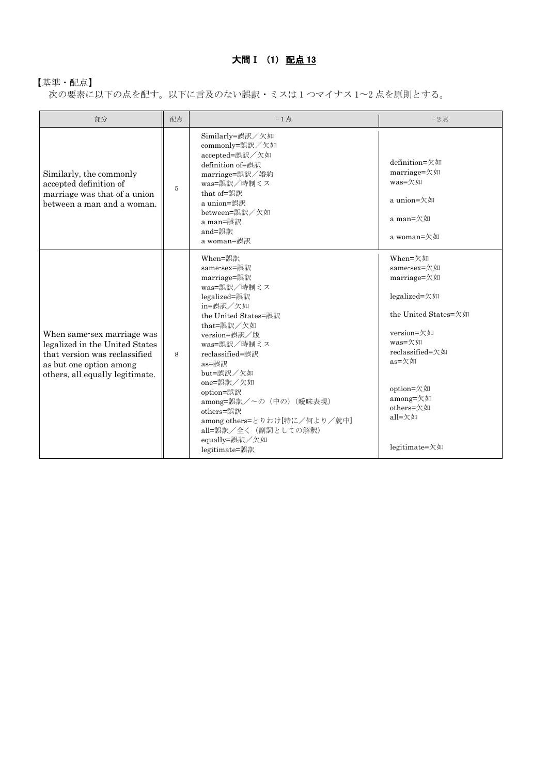# 大問Ⅰ (1) 配点 13

## 【基準・配点】

次の要素に以下の点を配す。以下に言及のない誤訳・ミスは 1 つマイナス 1〜2 点を原則とする。

| 部分                                                                                                                                                          | 配点 | $-1$ 点                                                                                                                                                                                                                                                                                                                                                    | $-2$ 点                                                                                                                                                                                             |
|-------------------------------------------------------------------------------------------------------------------------------------------------------------|----|-----------------------------------------------------------------------------------------------------------------------------------------------------------------------------------------------------------------------------------------------------------------------------------------------------------------------------------------------------------|----------------------------------------------------------------------------------------------------------------------------------------------------------------------------------------------------|
| Similarly, the commonly<br>accepted definition of<br>marriage was that of a union<br>between a man and a woman.                                             | 5  | Similarly=誤訳/欠如<br>commonly=誤訳/欠如<br>accepted=誤訳/欠如<br>definition of=誤訳<br>marriage=誤訳/婚約<br>was=誤訳/時制ミス<br>that of=誤訳<br>a union=誤訳<br>between=誤訳/欠如<br>a man=誤訳<br>and=誤訳<br>a woman=誤訳                                                                                                                                                                 | definition= $\pi \psi$<br>marriage=欠如<br>was=欠如<br>a union=欠如<br>a man=欠如<br>a woman=欠如                                                                                                            |
| When same-sex marriage was<br>legalized in the United States<br>that version was reclassified<br>as but one option among<br>others, all equally legitimate. | 8  | When=誤訳<br>same-sex=誤訳<br>marriage=誤訳<br>was=誤訳/時制ミス<br>legalized=誤訳<br>in=誤訳/欠如<br>the United States=誤訳<br>that=誤訳/欠如<br>version=誤訳/版<br>was=誤訳/時制ミス<br>reclassified=誤訳<br>as=誤訳<br>but=誤訳/欠如<br>one=誤訳/欠如<br>option=誤訳<br>among=誤訳/~の (中の) (曖昧表現)<br>others=誤訳<br>among others=とりわけ[特に/何より/就中]<br>all=誤訳/全く(副詞としての解釈)<br>equally=誤訳/欠如<br>legitimate=誤訳 | When=欠如<br>same-sex=欠如<br>marriage=欠如<br>legalized=欠如<br>the United States=欠如<br>version=欠如<br>was=欠如<br>reclassified=欠如<br>as=欠如<br>option=欠如<br>among=欠如<br>others=欠如<br>all=欠如<br>legitimate=欠如 |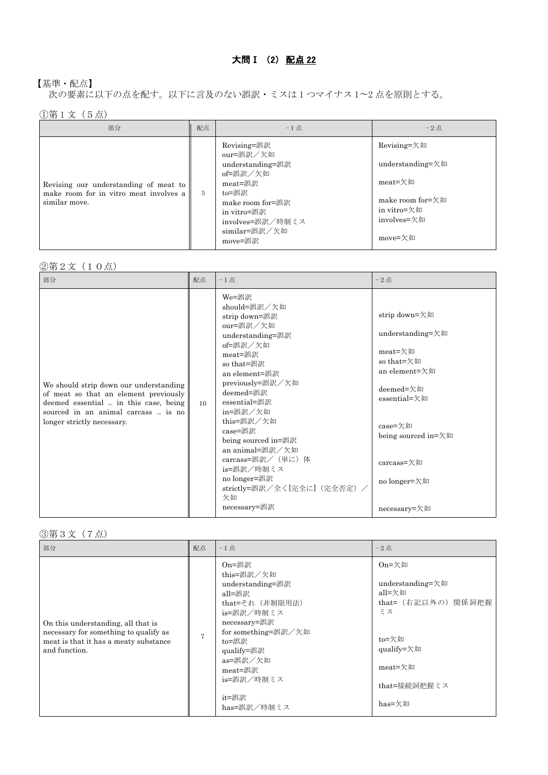## 【基準・配点】

次の要素に以下の点を配す。以下に言及のない誤訳・ミスは 1 つマイナス 1〜2 点を原則とする。

①第 1 文(5点)

| 部分                                                                                               | 配点         | $-1$ 点                                                                                                                                                          | $-2$ 点                                                                                                                                      |
|--------------------------------------------------------------------------------------------------|------------|-----------------------------------------------------------------------------------------------------------------------------------------------------------------|---------------------------------------------------------------------------------------------------------------------------------------------|
| Revising our understanding of meat to<br>make room for in vitro meat involves a<br>similar move. | $\sqrt{2}$ | Revising=誤訳<br>our=誤訳/欠如<br>understanding=誤訳<br>of=誤訳/欠如<br>meat=誤訳<br>to=誤訳<br>make room for=誤訳<br>in vitro=誤訳<br>involves=誤訳/時制ミス<br>similar=誤訳/欠如<br>move=誤訳 | Revising=欠如<br>understanding= $\not\pi$ 如<br>meat=欠如<br>make room for $=\frac{1}{2}$ $\frac{1}{2}$<br>in vitro=欠如<br>involves=欠如<br>move=欠如 |

### ②第2文(10点)

| 部分                                                                                                                                                                                                | 配点              | $-1$ 点                                                                                                                                                                                                                                                                                                                                                                  | $-2$ 点                                                                                                                                                                                   |
|---------------------------------------------------------------------------------------------------------------------------------------------------------------------------------------------------|-----------------|-------------------------------------------------------------------------------------------------------------------------------------------------------------------------------------------------------------------------------------------------------------------------------------------------------------------------------------------------------------------------|------------------------------------------------------------------------------------------------------------------------------------------------------------------------------------------|
| We should strip down our understanding<br>of meat so that an element previously<br>deemed essential $=$ in this case, being<br>sourced in an animal carcass = is no<br>longer strictly necessary. | 10 <sup>1</sup> | We=誤訳<br>should=誤訳/欠如<br>strip down=誤訳<br>our=誤訳/欠如<br>understanding=誤訳<br>of=誤訳/欠如<br>meat=誤訳<br>so that=誤訳<br>an element=誤訳<br>previously=誤訳/欠如<br>deemed=誤訳<br>essential=誤訳<br>in=誤訳/欠如<br>this=誤訳/欠如<br>case=誤訳<br>being sourced in=誤訳<br>an animal=誤訳/欠如<br>carcass=誤訳/ (単に) 体<br>is=誤訳/時制ミス<br>no longer=誤訳<br>strictly=誤訳/全く[完全に] (完全否定) /<br>欠如<br>necessary=誤訳 | strip down=欠如<br>understanding=欠如<br>meat=欠如<br>so that=欠如<br>an element=欠如<br>deemed=欠如<br>essential=欠如<br>case=欠如<br>being sourced in=欠如<br>carcass=欠如<br>no longer=欠如<br>necessary=欠如 |

#### ③第3文(7点)

| 部分                                                                                                                                    | 配点             | $-1$ 点                                                                                                                                                                                                        | $-2$ 点                                                                                                                                      |
|---------------------------------------------------------------------------------------------------------------------------------------|----------------|---------------------------------------------------------------------------------------------------------------------------------------------------------------------------------------------------------------|---------------------------------------------------------------------------------------------------------------------------------------------|
| On this understanding, all that is<br>necessary for something to qualify as<br>meat is that it has a meaty substance<br>and function. | $\overline{7}$ | On=誤訳<br>this=誤訳/欠如<br>understanding=誤訳<br>all=誤訳<br>that=それ (非制限用法)<br>is=誤訳/時制ミス<br>necessary=誤訳<br>for something=誤訳/欠如<br>to=誤訳<br>qualify=誤訳<br>as=誤訳/欠如<br>meat=誤訳<br>is=誤訳/時制ミス<br>it=誤訳<br>has=誤訳/時制ミス | $On = \frac{1}{2}$ 如<br>understanding=欠如<br>all=欠如<br>that= (右記以外の) 関係詞把握<br>ミス<br>to=欠如<br>qualify=欠如<br>meat=欠如<br>that=接続詞把握ミス<br>has=欠如 |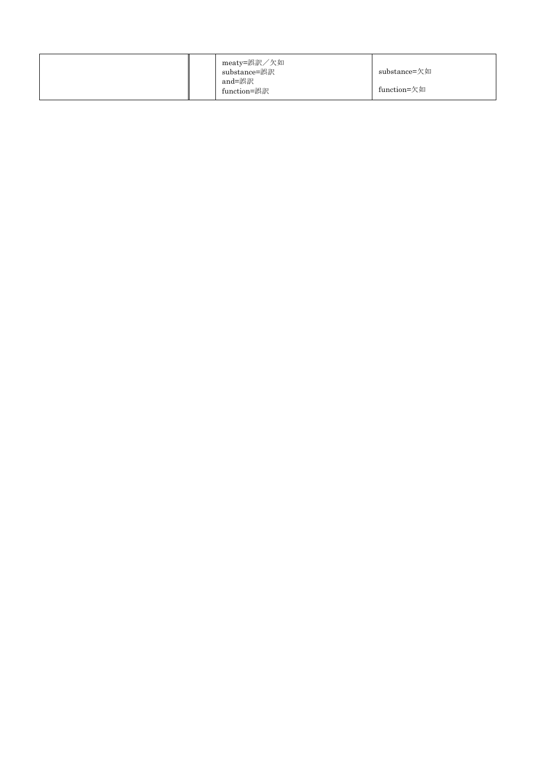|  | meaty=誤訳/欠如<br>substance=誤訳<br>and=誤訳 | substance=欠如 |
|--|---------------------------------------|--------------|
|  | function=誤訳                           | function=欠如  |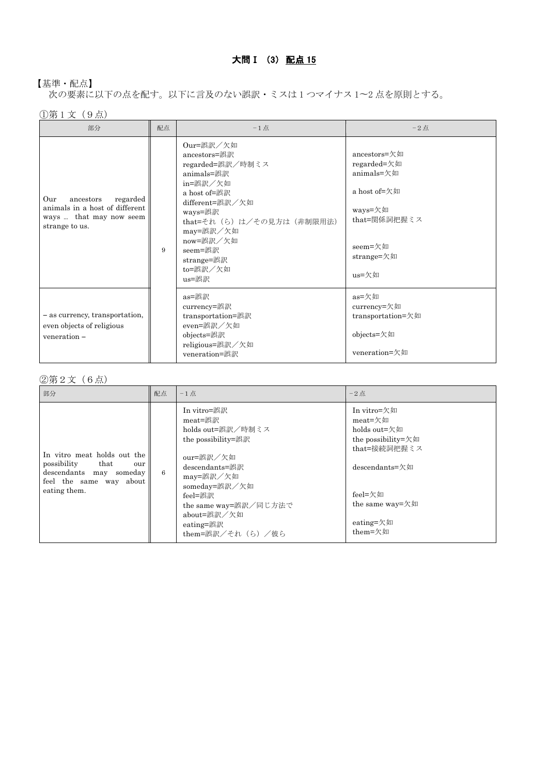## 大問 I (3) 配点 15

## 【基準・配点】

次の要素に以下の点を配す。以下に言及のない誤訳・ミスは 1 つマイナス 1〜2 点を原則とする。

①第 1 文(9点)

| 部分                                                                                                          | 配点 | $-1$ 点                                                                                                                                                                                                                       | $-2$ 点                                                                                                                 |
|-------------------------------------------------------------------------------------------------------------|----|------------------------------------------------------------------------------------------------------------------------------------------------------------------------------------------------------------------------------|------------------------------------------------------------------------------------------------------------------------|
| Our<br>regarded<br>ancestors<br>animals in a host of different<br>ways  that may now seem<br>strange to us. | 9  | Our=誤訳/欠如<br>ancestors=誤訳<br>regarded=誤訳/時制ミス<br>animals=誤訳<br>in=誤訳/欠如<br>a host of=誤訳<br>different=誤訳/欠如<br>ways=誤訳<br>that=それ (ら) は/その見方は (非制限用法)<br>may=誤訳/欠如<br>now=誤訳/欠如<br>seem=誤訳<br>strange=誤訳<br>to=誤訳/欠如<br>us=誤訳 | ancestors=欠如<br>regarded=欠如<br>animals=欠如<br>a host of=欠如<br>ways=欠如<br>that=関係詞把握ミス<br>seem=欠如<br>strange=欠如<br>us=欠如 |
| - as currency, transportation,<br>even objects of religious<br>veneration -                                 |    | as=誤訳<br>currency=誤訳<br>transportation=誤訳<br>even=誤訳/欠如<br>objects=誤訳<br>religious=誤訳/欠如<br>veneration=誤訳                                                                                                                    | as=欠如<br>currency=欠如<br>transportation=欠如<br>objects=欠如<br>veneration=欠如                                               |

#### ②第2文(6点)

| 部分                                                                                                                              | 配点 | $-1$ 点                                                                                                                                                                                                               | $-2$ 点                                                                                                                                                                           |
|---------------------------------------------------------------------------------------------------------------------------------|----|----------------------------------------------------------------------------------------------------------------------------------------------------------------------------------------------------------------------|----------------------------------------------------------------------------------------------------------------------------------------------------------------------------------|
| In vitro meat holds out the<br>possibility<br>that<br>our<br>descendants may someday<br>feel the same way about<br>eating them. | 6  | In vitro=誤訳<br>meat=誤訳<br>holds out=誤訳/時制ミス<br>the possibility=誤訳<br>our=誤訳/欠如<br>descendants=誤訳<br>may=誤訳/欠如<br>someday=誤訳/欠如<br>feel=誤訳<br>the same way=誤訳/同じ方法で<br>about=誤訳/欠如<br>eating=誤訳<br>them=誤訳/それ (ら) /彼ら | In vitro=欠如<br>meat=欠如<br>holds out=欠如<br>the possibility= $\not\pi$ $\not\pi$<br>that=接続詞把握ミス<br>descendants=欠如<br>feel=欠如<br>the same way= $\not\pi$ 如<br>eating=欠如<br>them=欠如 |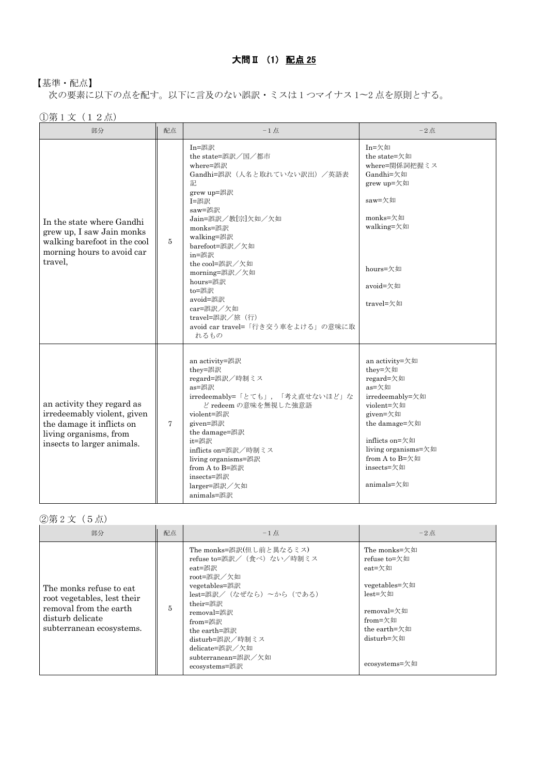## 【基準・配点】

次の要素に以下の点を配す。以下に言及のない誤訳・ミスは 1 つマイナス 1〜2 点を原則とする。

①第 1 文(12点)

| 部分                                                                                                                                             | 配点 | $-1$ 点                                                                                                                                                                                                                                                                                                                                 | $-2$ 点                                                                                                                                                                                               |
|------------------------------------------------------------------------------------------------------------------------------------------------|----|----------------------------------------------------------------------------------------------------------------------------------------------------------------------------------------------------------------------------------------------------------------------------------------------------------------------------------------|------------------------------------------------------------------------------------------------------------------------------------------------------------------------------------------------------|
| In the state where Gandhi<br>grew up, I saw Jain monks<br>walking barefoot in the cool<br>morning hours to avoid car<br>travel,                | 5  | In=誤訳<br>the state=誤訳/国/都市<br>where=誤訳<br>Gandhi=誤訳 (人名と取れていない訳出) /英語表<br>記<br>grew up=誤訳<br>I=誤訳<br>saw=誤訳<br>Jain=誤訳/教[宗]欠如/欠如<br>monks=誤訳<br>walking=誤訳<br>barefoot=誤訳/欠如<br>in=誤訳<br>the cool=誤訳/欠如<br>morning=誤訳/欠如<br>hours=誤訳<br>to=誤訳<br>avoid=誤訳<br>car=誤訳/欠如<br>travel=誤訳/旅 (行)<br>avoid car travel=「行き交う車をよける」の意味に取<br>れるもの | In=欠如<br>the state=欠如<br>where=関係詞把握ミス<br>Gandhi=欠如<br>grew up=欠如<br>saw=欠如<br>monks=欠如<br>walking=欠如<br>hours=欠如<br>avoid=欠如<br>travel=欠如                                                           |
| an activity they regard as<br>irredeemably violent, given<br>the damage it inflicts on<br>living organisms, from<br>insects to larger animals. | 7  | an activity=誤訳<br>they=誤訳<br>regard=誤訳/時制ミス<br>as=誤訳<br>irredeemably=「とても」,「考え直せないほど」な<br>ど redeem の意味を無視した強意語<br>violent=誤訳<br>given=誤訳<br>the damage=誤訳<br>it=誤訳<br>inflicts on=誤訳/時制ミス<br>living organisms=誤訳<br>from A to B=誤訳<br>insects=誤訳<br>larger=誤訳/欠如<br>animals=誤訳                                                         | an activity=欠如<br>they=欠如<br>regard=欠如<br>as=欠如<br>irredeemably=欠如<br>violent=欠如<br>given=欠如<br>the damage=欠如<br>inflicts on=欠如<br>living organisms=欠如<br>from A to B=欠如<br>insects=欠如<br>animals=欠如 |

②第 2 文(5点)

| 部分                                                                                                                                | 配点 | $-1$ 点                                                                                                                                                                                                                                                     | $-2$ 点                                                                                                                                     |
|-----------------------------------------------------------------------------------------------------------------------------------|----|------------------------------------------------------------------------------------------------------------------------------------------------------------------------------------------------------------------------------------------------------------|--------------------------------------------------------------------------------------------------------------------------------------------|
| The monks refuse to eat.<br>root vegetables, lest their<br>removal from the earth<br>disturb delicate<br>subterranean ecosystems. | 5  | The monks=誤訳(但し前と異なるミス)<br>refuse to=誤訳/(食べ)ない/時制ミス<br>eat=誤訳<br>root=誤訳/欠如<br>vegetables=誤訳<br>lest=誤訳/ (なぜなら) ~から (である)<br>their=誤訳<br>removal=誤訳<br>from=誤訳<br>the earth=誤訳<br>disturb=誤訳/時制ミス<br>delicate=誤訳/欠如<br>subterranean=誤訳/欠如<br>ecosystems=誤訳 | The monks=欠如<br>refuse to=欠如<br>eat=欠如<br>vegetables=欠如<br>lest=欠如<br>removal=欠如<br>from=欠如<br>the earth=欠如<br>disturb=欠如<br>ecosystems=欠如 |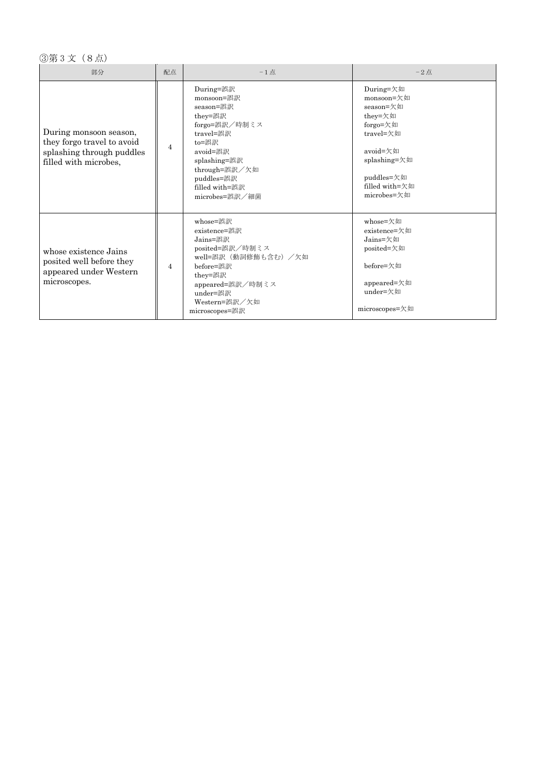## ③第 3 文(8点)

| 部分                                                                                                         | 配点             | $-1$ 点                                                                                                                                                                                | $-2$ 点                                                                                                                                              |
|------------------------------------------------------------------------------------------------------------|----------------|---------------------------------------------------------------------------------------------------------------------------------------------------------------------------------------|-----------------------------------------------------------------------------------------------------------------------------------------------------|
| During monsoon season,<br>they forgo travel to avoid<br>splashing through puddles<br>filled with microbes, | $\overline{4}$ | During=誤訳<br>monsoon=誤訳<br>season=誤訳<br>they=誤訳<br>forgo=誤訳/時制ミス<br>travel=誤訳<br>to=誤訳<br>avoid=誤訳<br>splashing=誤訳<br>through=誤訳/欠如<br>puddles=誤訳<br>filled with=誤訳<br>microbes=誤訳/細菌 | During=欠如<br>monsoon=欠如<br>season=欠如<br>they=欠如<br>forgo=欠如<br>travel=欠如<br>avoid=欠如<br>splashing=欠如<br>puddles=欠如<br>filled with=欠如<br>microbes=欠如 |
| whose existence Jains<br>posited well before they<br>appeared under Western<br>microscopes.                | $\overline{4}$ | whose=誤訳<br>existence=誤訳<br>Jains=誤訳<br>posited=誤訳/時制ミス<br>well=誤訳 (動詞修飾も含む) /欠如<br>before=誤訳<br>they=誤訳<br>appeared=誤訳/時制ミス<br>under=誤訳<br>Western=誤訳/欠如<br>microscopes=誤訳           | whose=欠如<br>$existence = \pi \psi$<br>Jains=欠如<br>posited=欠如<br>before=欠如<br>appeared=欠如<br>under=欠如<br>microscopes=欠如                              |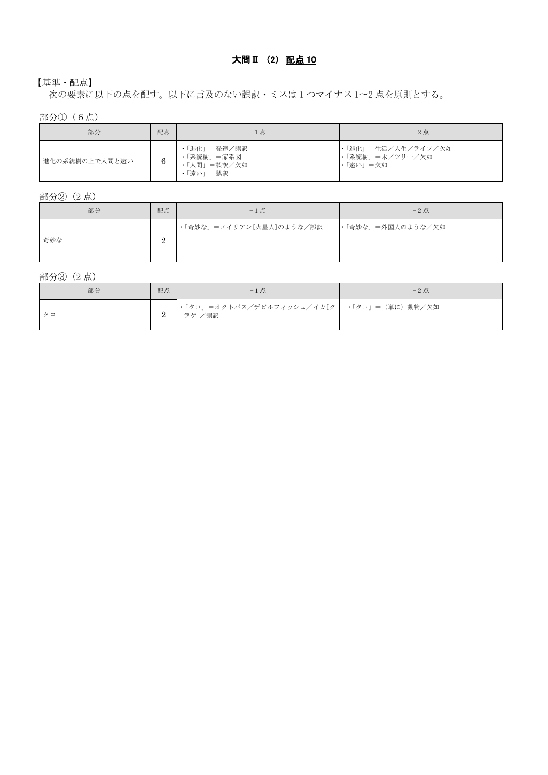## 大問Ⅱ (2) 配点 10

## 【基準・配点】

次の要素に以下の点を配す。以下に言及のない誤訳・ミスは 1 つマイナス 1〜2 点を原則とする。

部分①(6点)

| 部分             | 配点 | $-1$ 点                                               | $-2$ 点                                              |
|----------------|----|------------------------------------------------------|-----------------------------------------------------|
| 進化の系統樹の上で人間と遠い |    | ・「進化」=発達/誤訳<br>・「系統樹」=家系図<br>・「人間」=誤訳/欠如<br>・「遠い」=誤訳 | ・「進化」=生活/人生/ライフ/欠如<br> ・「系統樹」=木/ツリー/欠如<br> ・「遠い」=欠如 |

部分②(2 点)

| 部分  | 配点            | $-1$ 点                   | $-2$ 点            |
|-----|---------------|--------------------------|-------------------|
| 奇妙な | $\Omega$<br>▵ | ・「奇妙な」=エイリアン[火星人]のような/誤訳 | ・「奇妙な」=外国人のような/欠如 |

部分③(2 点)

| 部分 | 配点 | $-1$ 点                                                | $-2$ 点 |
|----|----|-------------------------------------------------------|--------|
|    |    | ・「タコ」=オクトパス/デビルフィッシュ/イカ[ク   ・「タコ」=(単に)動物/欠如<br>ラゲ]/誤訳 |        |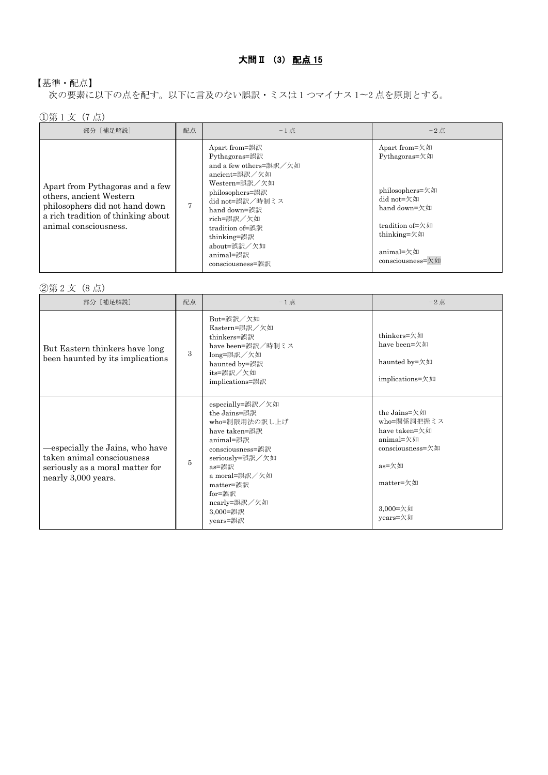## 【基準・配点】

次の要素に以下の点を配す。以下に言及のない誤訳・ミスは 1 つマイナス 1〜2 点を原則とする。

## ①第 1 文(7 点)

| 部分 [補足解説]                                                                                                                                                   | 配点 | $-1$ 点                                                                                                                                                                                                                                           | $-2$ 点                                                                                                                                             |
|-------------------------------------------------------------------------------------------------------------------------------------------------------------|----|--------------------------------------------------------------------------------------------------------------------------------------------------------------------------------------------------------------------------------------------------|----------------------------------------------------------------------------------------------------------------------------------------------------|
| Apart from Pythagoras and a few<br>others, ancient Western<br>philosophers did not hand down<br>a rich tradition of thinking about<br>animal consciousness. | 7  | Apart from=誤訳<br>Pythagoras=誤訳<br>and a few others=誤訳/欠如<br>ancient=誤訳/欠如<br>Western=誤訳/欠如<br>philosophers=誤訳<br>did not=誤訳/時制ミス<br>hand down=誤訳<br>rich=誤訳/欠如<br>tradition of=誤訳<br>thinking=誤訳<br>about=誤訳/欠如<br>animal=誤訳<br>consciousness=誤訳 | Apart from=欠如<br>Pythagoras=欠如<br>philosophers=欠如<br>did not=欠如<br>hand down=欠如<br>tradition of=欠如<br>thinking=欠如<br>animal=欠如<br>consciousness=欠如 |

②第 2 文(8 点)

| 部分 [補足解説]                                                                                                              | 配点 | $-1$ 点                                                                                                                                                                                                          | $-2$ 点                                                                                                                      |
|------------------------------------------------------------------------------------------------------------------------|----|-----------------------------------------------------------------------------------------------------------------------------------------------------------------------------------------------------------------|-----------------------------------------------------------------------------------------------------------------------------|
| But Eastern thinkers have long<br>been haunted by its implications                                                     | 3  | But=誤訳/欠如<br>Eastern=誤訳/欠如<br>thinkers=誤訳<br>have been=誤訳/時制ミス<br>long=誤訳/欠如<br>haunted by=誤訳<br>its=誤訳/欠如<br>implications=誤訳                                                                                   | thinkers=欠如<br>have been=欠如<br>haunted by=欠如<br>implications=欠如                                                             |
| especially the Jains, who have<br>taken animal consciousness<br>seriously as a moral matter for<br>nearly 3,000 years. | 5  | especially=誤訳/欠如<br>the Jains=誤訳<br>who=制限用法の訳し上げ<br>have taken=誤訳<br>animal=誤訳<br>consciousness=誤訳<br>seriously=誤訳/欠如<br>as=誤訳<br>a moral=誤訳/欠如<br>matter=誤訳<br>for=誤訳<br>nearly=誤訳/欠如<br>3,000=誤訳<br>years=誤訳 | the Jains=欠如<br>who=関係詞把握ミス<br>have taken=欠如<br>animal=欠如<br>consciousness=欠如<br>as=欠如<br>matter=欠如<br>3,000=欠如<br>years=欠如 |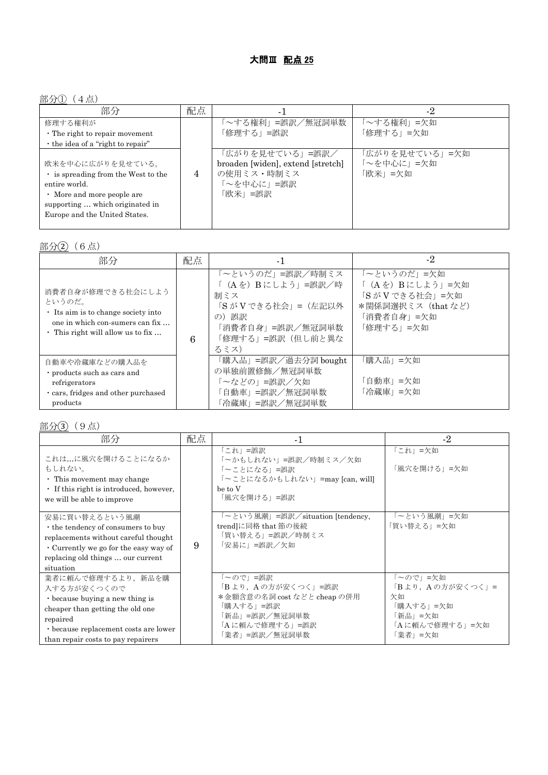## 部分①(4点)

| 部分                                                                                                                                                                       | 配点             | - 1                                                                                        | -2                                      |
|--------------------------------------------------------------------------------------------------------------------------------------------------------------------------|----------------|--------------------------------------------------------------------------------------------|-----------------------------------------|
| 修理する権利が<br>$\cdot$ The right to repair movement<br>• the idea of a "right to repair"                                                                                     |                | `~する権利」=誤訳/無冠詞単数<br>「修理する」=誤訳                                                              | 「~する権利」=欠如<br>「修理する」=欠如                 |
| 欧米を中心に広がりを見せている。<br>is spreading from the West to the<br>entire world.<br>• More and more people are<br>supporting  which originated in<br>Europe and the United States. | $\overline{4}$ | 「広がりを見せている」=誤訳/<br>broaden [widen], extend [stretch]<br>の使用ミス・時制ミス<br>~を中心に」=誤訳<br>「欧米」=誤訳 | 「広がりを見せている」=欠如<br>「~を中心に」=欠如<br>「欧米」=欠如 |

部分(2) (6点)

| 部分                                                                                                                                                     | 配点 | -1                                                                                                                          | $-2$                                                                                             |
|--------------------------------------------------------------------------------------------------------------------------------------------------------|----|-----------------------------------------------------------------------------------------------------------------------------|--------------------------------------------------------------------------------------------------|
| 消費者自身が修理できる社会にしよう<br>というのだ。<br>$\cdot$ Its aim is to change society into<br>one in which con-sumers can fix<br>$\cdot$ This right will allow us to fix | 6  | 「~というのだ」=誤訳/時制ミス<br>「(Aを) Bにしよう」=誤訳/時<br>制ミス<br>「S が V できる社会」=(左記以外<br>の)誤訳<br>「消費者自身」=誤訳/無冠詞単数<br>「修理する」=誤訳(但し前と異な<br>るミス) | 「~というのだ」=欠如<br>「(Aを) Bにしよう」=欠如<br>「SがVできる社会」=欠如<br>*関係詞選択ミス (that など)<br>「消費者自身」=欠如<br>「修理する」=欠如 |
| 自動車や冷蔵庫などの購入品を<br>· products such as cars and<br>refrigerators<br>cars, fridges and other purchased<br>products                                        |    | 「購入品」=誤訳/過去分詞 bought<br>の単独前置修飾/無冠詞単数<br>「~などの」=誤訳/欠如<br>「自動車」=誤訳/無冠詞単数<br>「冷蔵庫」=誤訳/無冠詞単数                                   | 「購入品」=欠如<br>「自動車」=欠如<br>「冷蔵庫」=欠如                                                                 |

部分③(9点)

| 部分                                                                                                                                                                                                       | 配点 | $-1$                                                                                                                             | $-2$                                                                                      |
|----------------------------------------------------------------------------------------------------------------------------------------------------------------------------------------------------------|----|----------------------------------------------------------------------------------------------------------------------------------|-------------------------------------------------------------------------------------------|
| これは…に風穴を開けることになるか<br>もしれない。<br>$\cdot$ This movement may change<br>• If this right is introduced, however,<br>we will be able to improve                                                                 |    | 「これ」=誤訳<br>「~かもしれない」=誤訳/時制ミス/欠如<br>「~ことになる」=誤訳<br>「~ことになるかもしれない」=may [can, will]<br>be to V<br>「風穴を開ける」=誤訳                       | 「これ」=欠如<br>「風穴を開ける」=欠如                                                                    |
| 安易に買い替えるという風潮<br>• the tendency of consumers to buy<br>replacements without careful thought<br>$\cdot$ Currently we go for the easy way of<br>replacing old things  our current<br>situation             | 9  | 「~という風潮」=誤訳/situation [tendency,<br>trendlに同格 that 節の後続<br>「買い替える」=誤訳/時制ミス<br>「安易に」=誤訳/欠如                                        | 「~という風潮」=欠如<br>「買い替える」=欠如                                                                 |
| 業者に頼んで修理するより、新品を購<br>入する方が安くつくので<br>$\cdot$ because buying a new thing is<br>cheaper than getting the old one<br>repaired<br>· because replacement costs are lower<br>than repair costs to pay repairers |    | 「~ので」=誤訳<br>「B より, A の方が安くつく」=誤訳<br>*金額含意の名詞 cost などと cheap の併用<br>「購入する」=誤訳<br>「新品」=誤訳/無冠詞単数<br>「Aに頼んで修理する」=誤訳<br>「業者」=誤訳/無冠詞単数 | 「~ので」=欠如<br>「B より, A の方が安くつく」=<br>欠如<br>「購入する」=欠如<br>「新品」=欠如<br>「Aに頼んで修理する」=欠如<br>「業者」=欠如 |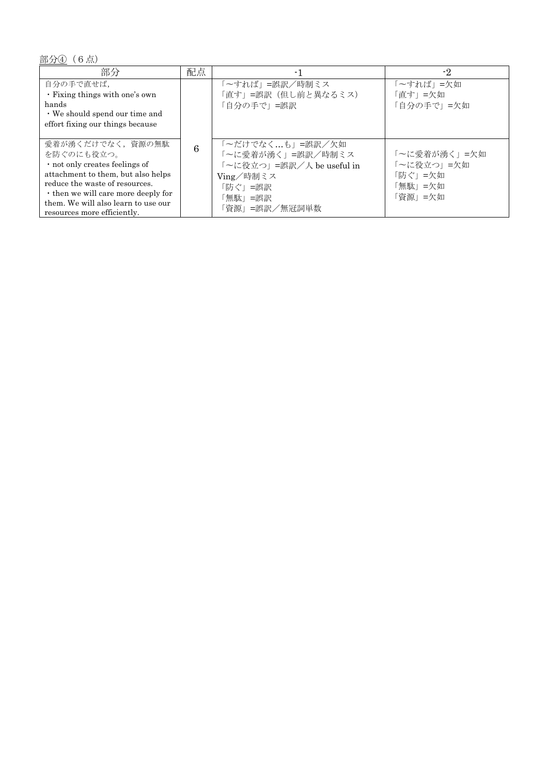部分40 (6点)

| 部分                                                                                                                                                                                                                                                    | 配点 |                                                                                                                       | $-2$                                                        |
|-------------------------------------------------------------------------------------------------------------------------------------------------------------------------------------------------------------------------------------------------------|----|-----------------------------------------------------------------------------------------------------------------------|-------------------------------------------------------------|
| 自分の手で直せば,<br>. Fixing things with one's own<br>hands<br>$\cdot$ We should spend our time and<br>effort fixing our things because                                                                                                                      |    | 「~すれば」=誤訳/時制ミス<br>「直す」=誤訳(但し前と異なるミス)<br>自分の手で」=誤訳                                                                     | 「~すれば」 =欠如<br>「直す」=欠如<br>「自分の手で」=欠如                         |
| 愛着が湧くだけでなく、資源の無駄<br>を防ぐのにも役立つ。<br>· not only creates feelings of<br>attachment to them, but also helps<br>reduce the waste of resources.<br>• then we will care more deeply for<br>them. We will also learn to use our<br>resources more efficiently. | 6  | 「~だけでなく…も」=誤訳/欠如<br>「~に愛着が湧く」=誤訳/時制ミス<br>~に役立つ」=誤訳/人 be useful in<br>Ving/時制ミス<br>「防ぐ」=誤訳<br>「無駄」=誤訳<br>「資源」=誤訳/無冠詞単数 | 「~に愛着が湧く」=欠如<br>「~に役立つ」=欠如<br>「防ぐ」=欠如<br>「無駄」=欠如<br>「資源」=欠如 |